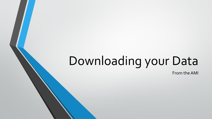## Downloading your Data

From the AMI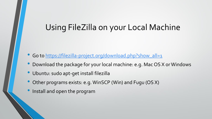## Using FileZilla on your Local Machine

- Go to [https://filezilla-project.org/download.php?show\\_all=1](https://filezilla-project.org/download.php?show_all=1)
- Download the package for your local machine: e.g. Mac OS X or Windows
- Ubuntu: sudo apt-get install filezilla
- Other programs exists: e.g. WinSCP (Win) and Fugu (OS X)
- Install and open the program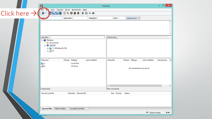|                          | 囩                                                                                                                                      |                                      |                                                                      |               | FileZilla                   |                            |                | - 01        | $\propto$ |
|--------------------------|----------------------------------------------------------------------------------------------------------------------------------------|--------------------------------------|----------------------------------------------------------------------|---------------|-----------------------------|----------------------------|----------------|-------------|-----------|
| Click here $\rightarrow$ | <b>File</b><br>Ŀ٥.<br>齷丶                                                                                                               |                                      | View Transfer Server Bookmarks Help<br>图th the Q + ① S & R   キ E ∞ A |               |                             |                            |                |             |           |
|                          | Host                                                                                                                                   |                                      | Username:                                                            | Password:     | Port:                       | Quickconnect $\  \cdot \ $ |                |             |           |
|                          |                                                                                                                                        |                                      |                                                                      |               |                             |                            |                |             |           |
|                          | Local site: $\vert \vert$<br><b>⊟</b> <sup></sup> Desktop<br>Documents<br>$\Box$ This PC<br>$\overline{\oplus}$ $\overline{\oplus}$ D: | <sup>1</sup> C: (Windows8_OS)        |                                                                      | v             | Remote site:                |                            |                |             |           |
|                          | Filename                                                                                                                               |                                      | Filesize Filetype                                                    | Last modified | Filename                    | Filesize Filetype          | Last modified  | Permissions | Ov        |
|                          | <mark>当</mark> C:<br><b>Local Disk</b><br>$\bigoplus$ D:<br><b>CD</b> Drive                                                            |                                      |                                                                      |               | Not connected to any server |                            |                |             |           |
|                          | 2 directories                                                                                                                          |                                      |                                                                      |               | $\langle$<br>Not connected. |                            |                |             | $\,$      |
|                          | Server/Local file                                                                                                                      |                                      | Direction Remote file                                                |               | Size Priority               | <b>Status</b>              |                |             |           |
|                          |                                                                                                                                        |                                      |                                                                      |               |                             |                            |                |             |           |
|                          |                                                                                                                                        | <b>Queued files</b> Failed transfers | Successful transfers                                                 |               |                             |                            |                |             |           |
|                          |                                                                                                                                        |                                      |                                                                      |               |                             |                            | A Queue: empty |             | 99.       |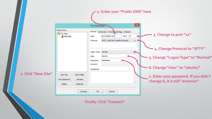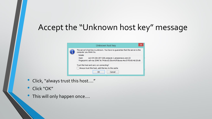## Accept the "Unknown host key" message

|                                                                                                                                     | ×<br>Unknown host key                                                                                                         |  |  |  |  |
|-------------------------------------------------------------------------------------------------------------------------------------|-------------------------------------------------------------------------------------------------------------------------------|--|--|--|--|
|                                                                                                                                     | The server's host key is unknown. You have no guarantee that the server is the<br>computer you think it is.<br><b>Details</b> |  |  |  |  |
| Host:<br>ec2-54-226-207-228.compute-1.amazonaws.com:22<br>Fingerprint: ssh-rsa 2048 7e:74:6e:d2:3b:e4:0f:8a:ea:4e:d7:f0:60:4d:20:d6 |                                                                                                                               |  |  |  |  |
|                                                                                                                                     | Trust this host and carry on connecting?                                                                                      |  |  |  |  |
|                                                                                                                                     | Always trust this host, add this key to the cache                                                                             |  |  |  |  |
|                                                                                                                                     | Cancel<br>OK                                                                                                                  |  |  |  |  |

- Click, "always trust this host…."
- Click "OK"
- This will only happen once....